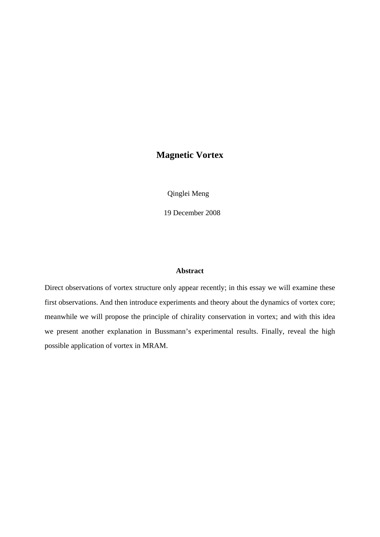## **Magnetic Vortex**

Qinglei Meng

19 December 2008

#### **Abstract**

Direct observations of vortex structure only appear recently; in this essay we will examine these first observations. And then introduce experiments and theory about the dynamics of vortex core; meanwhile we will propose the principle of chirality conservation in vortex; and with this idea we present another explanation in Bussmann's experimental results. Finally, reveal the high possible application of vortex in MRAM.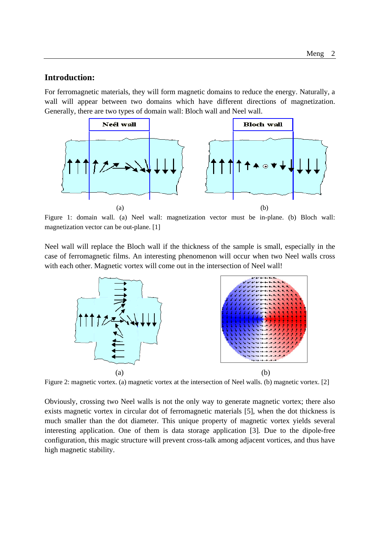#### **Introduction:**

For ferromagnetic materials, they will form magnetic domains to reduce the energy. Naturally, a wall will appear between two domains which have different directions of magnetization. Generally, there are two types of domain wall: Bloch wall and Neel wall.



Figure 1: domain wall. (a) Neel wall: magnetization vector must be in-plane. (b) Bloch wall: magnetization vector can be out-plane. [1]

Neel wall will replace the Bloch wall if the thickness of the sample is small, especially in the case of ferromagnetic films. An interesting phenomenon will occur when two Neel walls cross with each other. Magnetic vortex will come out in the intersection of Neel wall!



Figure 2: magnetic vortex. (a) magnetic vortex at the intersection of Neel walls. (b) magnetic vortex. [2]

Obviously, crossing two Neel walls is not the only way to generate magnetic vortex; there also exists magnetic vortex in circular dot of ferromagnetic materials [5], when the dot thickness is much smaller than the dot diameter. This unique property of magnetic vortex yields several interesting application. One of them is data storage application [3]. Due to the dipole-free configuration, this magic structure will prevent cross-talk among adjacent vortices, and thus have high magnetic stability.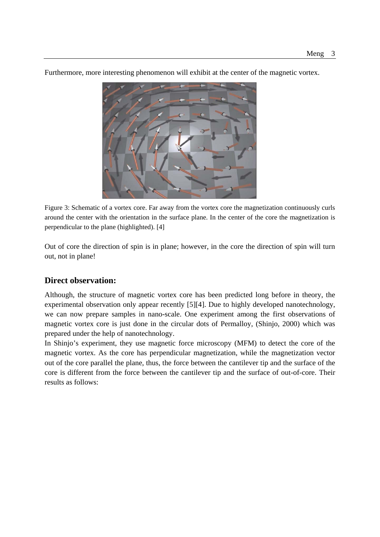

Furthermore, more interesting phenomenon will exhibit at the center of the magnetic vortex.

Figure 3: Schematic of a vortex core. Far away from the vortex core the magnetization continuously curls around the center with the orientation in the surface plane. In the center of the core the magnetization is perpendicular to the plane (highlighted). [4]

Out of core the direction of spin is in plane; however, in the core the direction of spin will turn out, not in plane!

### **Direct observation:**

Although, the structure of magnetic vortex core has been predicted long before in theory, the experimental observation only appear recently [5][4]. Due to highly developed nanotechnology, we can now prepare samples in nano-scale. One experiment among the first observations of magnetic vortex core is just done in the circular dots of Permalloy, (Shinjo, 2000) which was prepared under the help of nanotechnology.

In Shinjo's experiment, they use magnetic force microscopy (MFM) to detect the core of the magnetic vortex. As the core has perpendicular magnetization, while the magnetization vector out of the core parallel the plane, thus, the force between the cantilever tip and the surface of the core is different from the force between the cantilever tip and the surface of out-of-core. Their results as follows: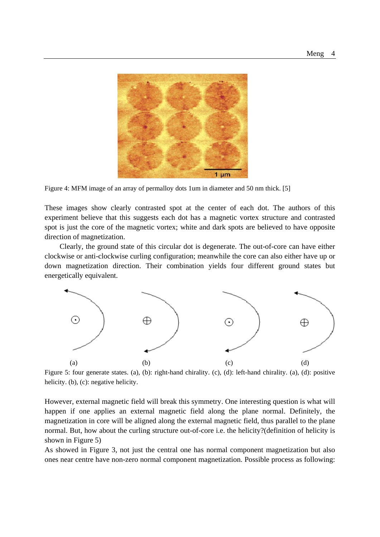

Figure 4: MFM image of an array of permalloy dots 1um in diameter and 50 nm thick. [5]

These images show clearly contrasted spot at the center of each dot. The authors of this experiment believe that this suggests each dot has a magnetic vortex structure and contrasted spot is just the core of the magnetic vortex; white and dark spots are believed to have opposite direction of magnetization.

Clearly, the ground state of this circular dot is degenerate. The out-of-core can have either clockwise or anti-clockwise curling configuration; meanwhile the core can also either have up or down magnetization direction. Their combination yields four different ground states but energetically equivalent.



Figure 5: four generate states. (a), (b): right-hand chirality. (c), (d): left-hand chirality. (a), (d): positive helicity. (b), (c): negative helicity.

However, external magnetic field will break this symmetry. One interesting question is what will happen if one applies an external magnetic field along the plane normal. Definitely, the magnetization in core will be aligned along the external magnetic field, thus parallel to the plane normal. But, how about the curling structure out-of-core i.e. the helicity?(definition of helicity is shown in Figure 5)

As showed in Figure 3, not just the central one has normal component magnetization but also ones near centre have non-zero normal component magnetization. Possible process as following: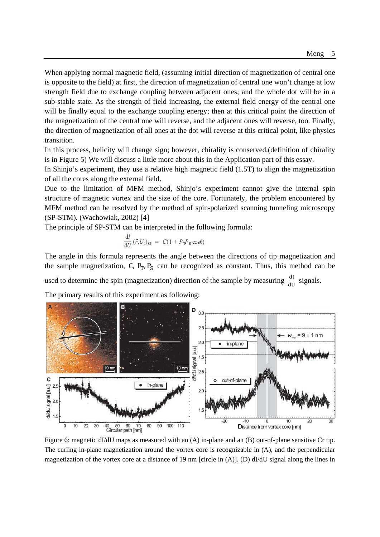When applying normal magnetic field, (assuming initial direction of magnetization of central one is opposite to the field) at first, the direction of magnetization of central one won't change at low strength field due to exchange coupling between adjacent ones; and the whole dot will be in a sub-stable state. As the strength of field increasing, the external field energy of the central one will be finally equal to the exchange coupling energy; then at this critical point the direction of the magnetization of the central one will reverse, and the adjacent ones will reverse, too. Finally, the direction of magnetization of all ones at the dot will reverse at this critical point, like physics transition.

In this process, helicity will change sign; however, chirality is conserved.(definition of chirality is in Figure 5) We will discuss a little more about this in the Application part of this essay.

In Shinjo's experiment, they use a relative high magnetic field (1.5T) to align the magnetization of all the cores along the external field.

Due to the limitation of MFM method, Shinjo's experiment cannot give the internal spin structure of magnetic vortex and the size of the core. Fortunately, the problem encountered by MFM method can be resolved by the method of spin-polarized scanning tunneling microscopy (SP-STM). (Wachowiak, 2002) [4]

The principle of SP-STM can be interpreted in the following formula:

$$
\frac{\mathrm{d}I}{\mathrm{d}U} \left( \vec{r}, U_0 \right)_{\rm SP} = C (1 + P_{\rm T} P_{\rm S} \cos \theta)
$$

The angle in this formula represents the angle between the directions of tip magnetization and the sample magnetization, C,  $P_T$ ,  $P_S$  can be recognized as constant. Thus, this method can be

used to determine the spin (magnetization) direction of the sample by measuring  $\frac{dI}{dU}$  signals.

The primary results of this experiment as following:



Figure 6: magnetic dI/dU maps as measured with an (A) in-plane and an (B) out-of-plane sensitive Cr tip. The curling in-plane magnetization around the vortex core is recognizable in (A), and the perpendicular magnetization of the vortex core at a distance of 19 nm [circle in  $(A)$ ]. (D) dI/dU signal along the lines in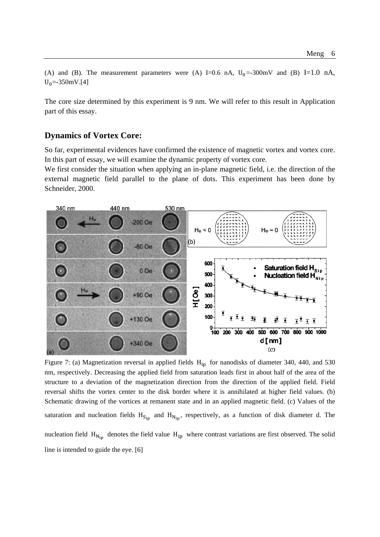(A) and (B). The measurement parameters were (A) I=0.6 nA,  $U_0$  =-300mV and (B) I=1.0 nA,  $U_0 = -350$ mV.[4]

The core size determined by this experiment is 9 nm. We will refer to this result in Application part of this essay.

#### **Dynamics of Vortex Core:**

So far, experimental evidences have confirmed the existence of magnetic vortex and vortex core. In this part of essay, we will examine the dynamic property of vortex core.

We first consider the situation when applying an in-plane magnetic field, i.e. the direction of the external magnetic field parallel to the plane of dots. This experiment has been done by Schneider, 2000.



Figure 7: (a) Magnetization reversal in applied fields  $H_{in}$  for nanodisks of diameter 340, 440, and 530 nm, respectively. Decreasing the applied field from saturation leads first in about half of the area of the structure to a deviation of the magnetization direction from the direction of the applied field. Field reversal shifts the vortex center to the disk border where it is annihilated at higher field values. (b) Schematic drawing of the vortices at remanent state and in an applied magnetic field. (c) Values of the saturation and nucleation fields  $H_{S_{in}}$  and  $H_{N_{in}}$ , respectively, as a function of disk diameter d. The nucleation field  $H_{N_{in}}$  denotes the field value  $H_{ip}$  where contrast variations are first observed. The solid line is intended to guide the eye. [6]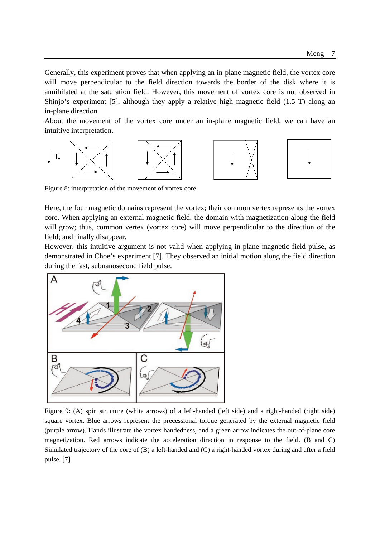Generally, this experiment proves that when applying an in-plane magnetic field, the vortex core will move perpendicular to the field direction towards the border of the disk where it is annihilated at the saturation field. However, this movement of vortex core is not observed in Shinjo's experiment [5], although they apply a relative high magnetic field (1.5 T) along an in-plane direction.

About the movement of the vortex core under an in-plane magnetic field, we can have an intuitive interpretation.



Figure 8: interpretation of the movement of vortex core.

Here, the four magnetic domains represent the vortex; their common vertex represents the vortex core. When applying an external magnetic field, the domain with magnetization along the field will grow; thus, common vertex (vortex core) will move perpendicular to the direction of the field; and finally disappear.

However, this intuitive argument is not valid when applying in-plane magnetic field pulse, as demonstrated in Choe's experiment [7]. They observed an initial motion along the field direction during the fast, subnanosecond field pulse.



Figure 9: (A) spin structure (white arrows) of a left-handed (left side) and a right-handed (right side) square vortex. Blue arrows represent the precessional torque generated by the external magnetic field (purple arrow). Hands illustrate the vortex handedness, and a green arrow indicates the out-of-plane core magnetization. Red arrows indicate the acceleration direction in response to the field. (B and C) Simulated trajectory of the core of (B) a left-handed and (C) a right-handed vortex during and after a field pulse. [7]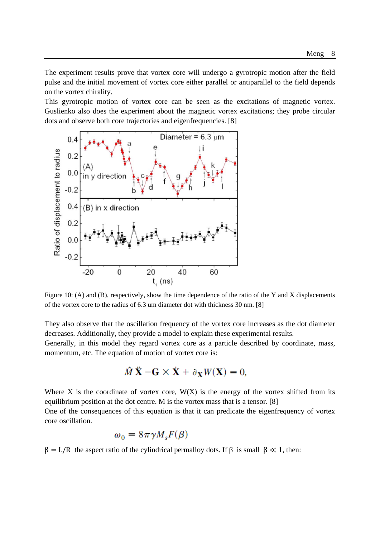The experiment results prove that vortex core will undergo a gyrotropic motion after the field pulse and the initial movement of vortex core either parallel or antiparallel to the field depends on the vortex chirality.

This gyrotropic motion of vortex core can be seen as the excitations of magnetic vortex. Guslienko also does the experiment about the magnetic vortex excitations; they probe circular dots and observe both core trajectories and eigenfrequencies. [8]



Figure 10: (A) and (B), respectively, show the time dependence of the ratio of the Y and X displacements of the vortex core to the radius of 6.3 um diameter dot with thickness 30 nm. [8]

They also observe that the oscillation frequency of the vortex core increases as the dot diameter decreases. Additionally, they provide a model to explain these experimental results.

Generally, in this model they regard vortex core as a particle described by coordinate, mass, momentum, etc. The equation of motion of vortex core is:

$$
\hat{M}\ddot{\mathbf{X}} - \mathbf{G} \times \dot{\mathbf{X}} + \partial_{\mathbf{X}} W(\mathbf{X}) = 0,
$$

Where X is the coordinate of vortex core,  $W(X)$  is the energy of the vortex shifted from its equilibrium position at the dot centre. M is the vortex mass that is a tensor. [8]

One of the consequences of this equation is that it can predicate the eigenfrequency of vortex core oscillation.

$$
\omega_0 = 8\pi \gamma M_s F(\beta)
$$

 $β = L/R$  the aspect ratio of the cylindrical permalloy dots. If β is small  $β \ll 1$ , then: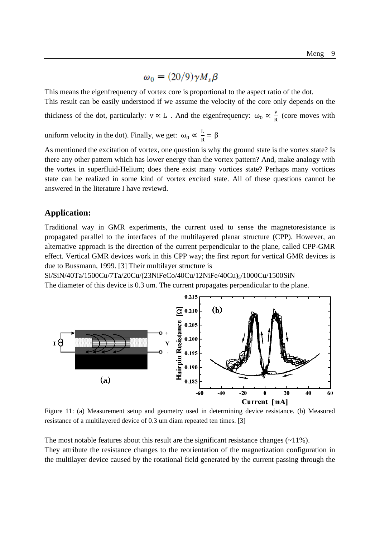# $\omega_0 = (20/9) \gamma M_s \beta$

This means the eigenfrequency of vortex core is proportional to the aspect ratio of the dot. This result can be easily understood if we assume the velocity of the core only depends on the

thickness of the dot, particularly:  $v \propto L$ . And the eigenfrequency:  $\omega_0 \propto \frac{v}{R}$  (core moves with

uniform velocity in the dot). Finally, we get:  $\omega_0 \propto \frac{L}{R} = \beta$ 

As mentioned the excitation of vortex, one question is why the ground state is the vortex state? Is there any other pattern which has lower energy than the vortex pattern? And, make analogy with the vortex in superfluid-Helium; does there exist many vortices state? Perhaps many vortices state can be realized in some kind of vortex excited state. All of these questions cannot be answered in the literature I have reviewd.

### **Application:**

Traditional way in GMR experiments, the current used to sense the magnetoresistance is propagated parallel to the interfaces of the multilayered planar structure (CPP). However, an alternative approach is the direction of the current perpendicular to the plane, called CPP-GMR effect. Vertical GMR devices work in this CPP way; the first report for vertical GMR devices is due to Bussmann, 1999. [3] Their multilayer structure is

Si/SiN/40Ta/1500Cu/7Ta/20Cu/(23NiFeCo/40Cu/12NiFe/40Cu)<sub>5</sub>/1000Cu/1500SiN The diameter of this device is 0.3 um. The current propagates perpendicular to the plane.



Figure 11: (a) Measurement setup and geometry used in determining device resistance. (b) Measured resistance of a multilayered device of 0.3 um diam repeated ten times. [3]

The most notable features about this result are the significant resistance changes  $(\sim 11\%)$ . They attribute the resistance changes to the reorientation of the magnetization configuration in the multilayer device caused by the rotational field generated by the current passing through the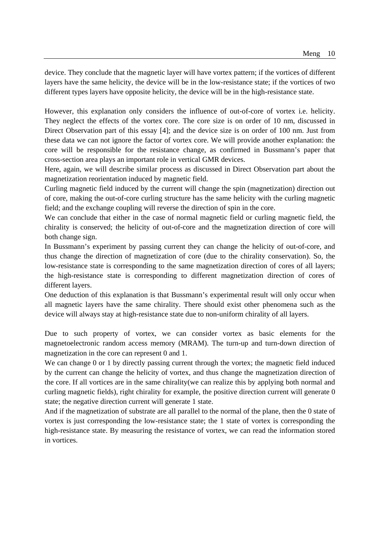device. They conclude that the magnetic layer will have vortex pattern; if the vortices of different layers have the same helicity, the device will be in the low-resistance state; if the vortices of two different types layers have opposite helicity, the device will be in the high-resistance state.

However, this explanation only considers the influence of out-of-core of vortex i.e. helicity. They neglect the effects of the vortex core. The core size is on order of 10 nm, discussed in Direct Observation part of this essay [4]; and the device size is on order of 100 nm. Just from these data we can not ignore the factor of vortex core. We will provide another explanation: the core will be responsible for the resistance change, as confirmed in Bussmann's paper that cross-section area plays an important role in vertical GMR devices.

Here, again, we will describe similar process as discussed in Direct Observation part about the magnetization reorientation induced by magnetic field.

Curling magnetic field induced by the current will change the spin (magnetization) direction out of core, making the out-of-core curling structure has the same helicity with the curling magnetic field; and the exchange coupling will reverse the direction of spin in the core.

We can conclude that either in the case of normal magnetic field or curling magnetic field, the chirality is conserved; the helicity of out-of-core and the magnetization direction of core will both change sign.

In Bussmann's experiment by passing current they can change the helicity of out-of-core, and thus change the direction of magnetization of core (due to the chirality conservation). So, the low-resistance state is corresponding to the same magnetization direction of cores of all layers; the high-resistance state is corresponding to different magnetization direction of cores of different layers.

One deduction of this explanation is that Bussmann's experimental result will only occur when all magnetic layers have the same chirality. There should exist other phenomena such as the device will always stay at high-resistance state due to non-uniform chirality of all layers.

Due to such property of vortex, we can consider vortex as basic elements for the magnetoelectronic random access memory (MRAM). The turn-up and turn-down direction of magnetization in the core can represent 0 and 1.

We can change 0 or 1 by directly passing current through the vortex; the magnetic field induced by the current can change the helicity of vortex, and thus change the magnetization direction of the core. If all vortices are in the same chirality(we can realize this by applying both normal and curling magnetic fields), right chirality for example, the positive direction current will generate 0 state; the negative direction current will generate 1 state.

And if the magnetization of substrate are all parallel to the normal of the plane, then the 0 state of vortex is just corresponding the low-resistance state; the 1 state of vortex is corresponding the high-resistance state. By measuring the resistance of vortex, we can read the information stored in vortices.